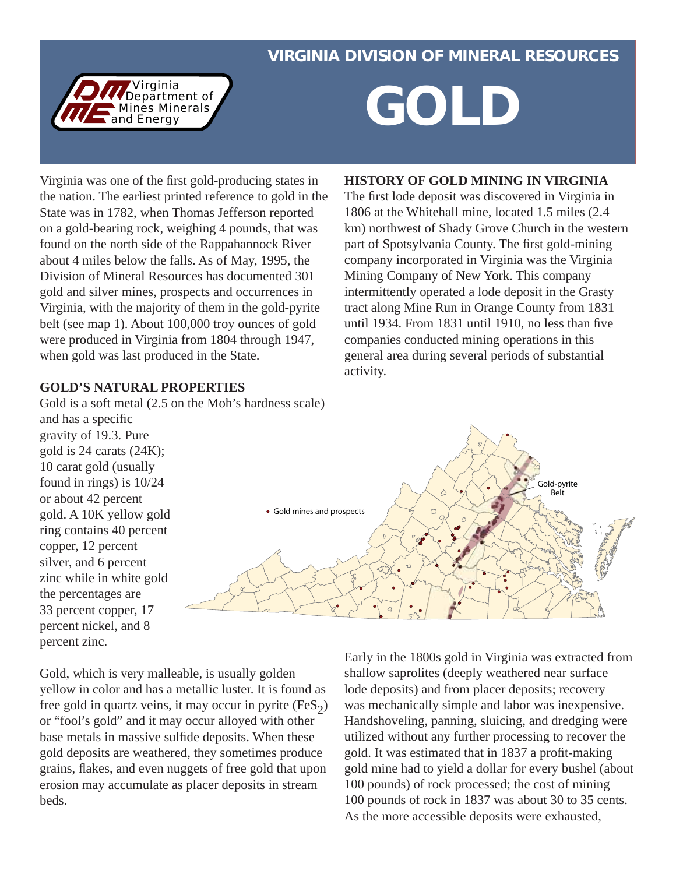### VIRGINIA DIVISION OF MINERAL RESOURCES



# *A Department of COLD*

Virginia was one of the first gold-producing states in the nation. The earliest printed reference to gold in the State was in 1782, when Thomas Jefferson reported on a gold-bearing rock, weighing 4 pounds, that was found on the north side of the Rappahannock River about 4 miles below the falls. As of May, 1995, the Division of Mineral Resources has documented 301 gold and silver mines, prospects and occurrences in Virginia, with the majority of them in the gold-pyrite belt (see map 1). About 100,000 troy ounces of gold were produced in Virginia from 1804 through 1947, when gold was last produced in the State.

#### **GOLD'S NATURAL PROPERTIES**

Gold is a soft metal (2.5 on the Moh's hardness scale) and has a specific gravity of 19.3. Pure gold is 24 carats (24K);

**HISTORY OF GOLD MINING IN VIRGINIA** The first lode deposit was discovered in Virginia in

1806 at the Whitehall mine, located 1.5 miles (2.4 km) northwest of Shady Grove Church in the western part of Spotsylvania County. The first gold-mining company incorporated in Virginia was the Virginia Mining Company of New York. This company intermittently operated a lode deposit in the Grasty tract along Mine Run in Orange County from 1831 until 1934. From  $1831$  until 1910, no less than five companies conducted mining operations in this general area during several periods of substantial activity.



10 carat gold (usually found in rings) is 10/24 or about 42 percent gold. A 10K yellow gold ring contains 40 percent copper, 12 percent silver, and 6 percent zinc while in white gold the percentages are 33 percent copper, 17 percent nickel, and 8 percent zinc.

Gold, which is very malleable, is usually golden yellow in color and has a metallic luster. It is found as free gold in quartz veins, it may occur in pyrite (FeS $_2$ ) or "fool's gold" and it may occur alloyed with other base metals in massive sulfide deposits. When these gold deposits are weathered, they sometimes produce grains, flakes, and even nuggets of free gold that upon erosion may accumulate as placer deposits in stream beds.

Early in the 1800s gold in Virginia was extracted from shallow saprolites (deeply weathered near surface lode deposits) and from placer deposits; recovery was mechanically simple and labor was inexpensive. Handshoveling, panning, sluicing, and dredging were utilized without any further processing to recover the gold. It was estimated that in 1837 a profit-making gold mine had to yield a dollar for every bushel (about 100 pounds) of rock processed; the cost of mining 100 pounds of rock in 1837 was about 30 to 35 cents. As the more accessible deposits were exhausted,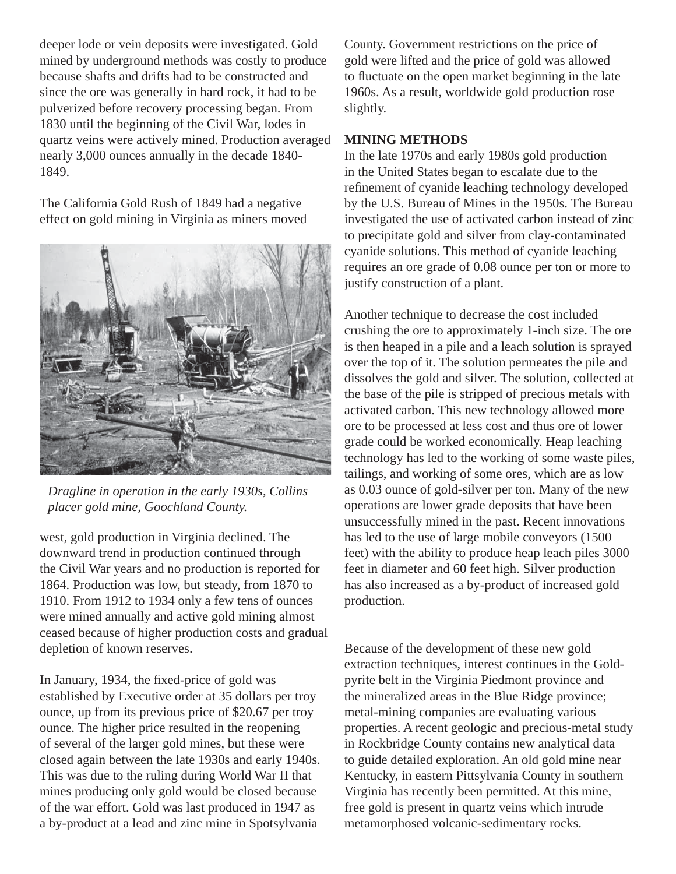deeper lode or vein deposits were investigated. Gold mined by underground methods was costly to produce because shafts and drifts had to be constructed and since the ore was generally in hard rock, it had to be pulverized before recovery processing began. From 1830 until the beginning of the Civil War, lodes in quartz veins were actively mined. Production averaged nearly 3,000 ounces annually in the decade 1840- 1849.

The California Gold Rush of 1849 had a negative effect on gold mining in Virginia as miners moved



*Dragline in operation in the early 1930s, Collins placer gold mine, Goochland County.*

west, gold production in Virginia declined. The downward trend in production continued through the Civil War years and no production is reported for 1864. Production was low, but steady, from 1870 to 1910. From 1912 to 1934 only a few tens of ounces were mined annually and active gold mining almost ceased because of higher production costs and gradual depletion of known reserves.

In January, 1934, the fixed-price of gold was established by Executive order at 35 dollars per troy ounce, up from its previous price of \$20.67 per troy ounce. The higher price resulted in the reopening of several of the larger gold mines, but these were closed again between the late 1930s and early 1940s. This was due to the ruling during World War II that mines producing only gold would be closed because of the war effort. Gold was last produced in 1947 as a by-product at a lead and zinc mine in Spotsylvania

County. Government restrictions on the price of gold were lifted and the price of gold was allowed to fluctuate on the open market beginning in the late 1960s. As a result, worldwide gold production rose slightly.

#### **MINING METHODS**

In the late 1970s and early 1980s gold production in the United States began to escalate due to the refinement of cyanide leaching technology developed by the U.S. Bureau of Mines in the 1950s. The Bureau investigated the use of activated carbon instead of zinc to precipitate gold and silver from clay-contaminated cyanide solutions. This method of cyanide leaching requires an ore grade of 0.08 ounce per ton or more to justify construction of a plant.

Another technique to decrease the cost included crushing the ore to approximately 1-inch size. The ore is then heaped in a pile and a leach solution is sprayed over the top of it. The solution permeates the pile and dissolves the gold and silver. The solution, collected at the base of the pile is stripped of precious metals with activated carbon. This new technology allowed more ore to be processed at less cost and thus ore of lower grade could be worked economically. Heap leaching technology has led to the working of some waste piles, tailings, and working of some ores, which are as low as 0.03 ounce of gold-silver per ton. Many of the new operations are lower grade deposits that have been unsuccessfully mined in the past. Recent innovations has led to the use of large mobile conveyors (1500 feet) with the ability to produce heap leach piles 3000 feet in diameter and 60 feet high. Silver production has also increased as a by-product of increased gold production.

Because of the development of these new gold extraction techniques, interest continues in the Goldpyrite belt in the Virginia Piedmont province and the mineralized areas in the Blue Ridge province; metal-mining companies are evaluating various properties. A recent geologic and precious-metal study in Rockbridge County contains new analytical data to guide detailed exploration. An old gold mine near Kentucky, in eastern Pittsylvania County in southern Virginia has recently been permitted. At this mine, free gold is present in quartz veins which intrude metamorphosed volcanic-sedimentary rocks.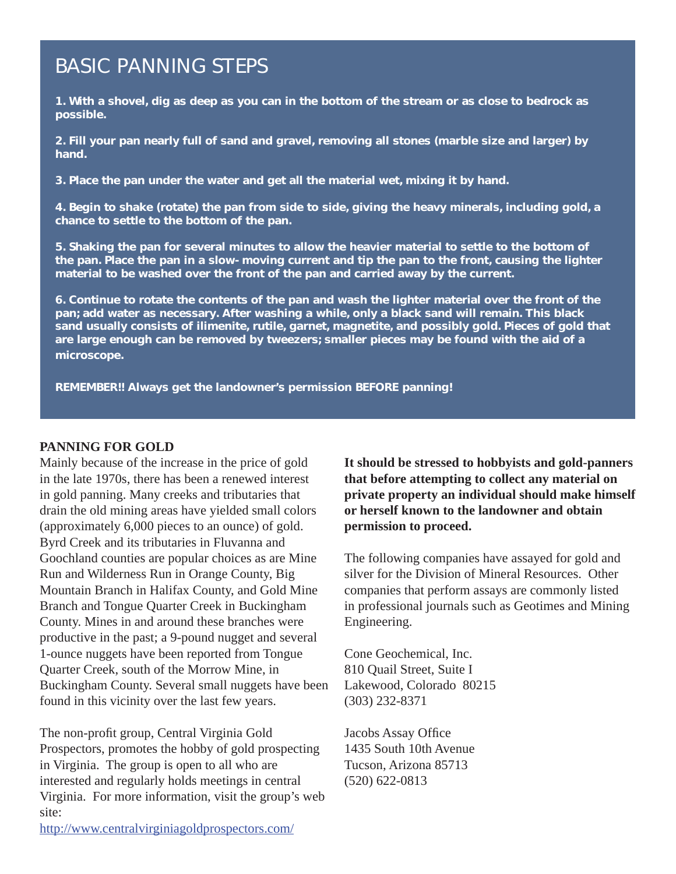## BASIC PANNING STEPS

1. With a shovel, dig as deep as you can in the bottom of the stream or as close to bedrock as possible.

2. Fill your pan nearly full of sand and gravel, removing all stones (marble size and larger) by hand.

3. Place the pan under the water and get all the material wet, mixing it by hand.

4. Begin to shake (rotate) the pan from side to side, giving the heavy minerals, including gold, a chance to settle to the bottom of the pan.

5. Shaking the pan for several minutes to allow the heavier material to settle to the bottom of the pan. Place the pan in a slow-moving current and tip the pan to the front, causing the lighter material to be washed over the front of the pan and carried away by the current.

6. Continue to rotate the contents of the pan and wash the lighter material over the front of the pan; add water as necessary. After washing a while, only a black sand will remain. This black sand usually consists of ilimenite, rutile, garnet, magnetite, and possibly gold. Pieces of gold that are large enough can be removed by tweezers; smaller pieces may be found with the aid of a microscope.

REMEMBER!! Always get the landowner's permission BEFORE panning!

#### **PANNING FOR GOLD**

Mainly because of the increase in the price of gold in the late 1970s, there has been a renewed interest in gold panning. Many creeks and tributaries that drain the old mining areas have yielded small colors (approximately 6,000 pieces to an ounce) of gold. Byrd Creek and its tributaries in Fluvanna and Goochland counties are popular choices as are Mine Run and Wilderness Run in Orange County, Big Mountain Branch in Halifax County, and Gold Mine Branch and Tongue Quarter Creek in Buckingham County. Mines in and around these branches were productive in the past; a 9-pound nugget and several 1-ounce nuggets have been reported from Tongue Quarter Creek, south of the Morrow Mine, in Buckingham County. Several small nuggets have been found in this vicinity over the last few years.

The non-profit group, Central Virginia Gold Prospectors, promotes the hobby of gold prospecting in Virginia. The group is open to all who are interested and regularly holds meetings in central Virginia. For more information, visit the group's web site:

**It should be stressed to hobbyists and gold-panners that before attempting to collect any material on private property an individual should make himself or herself known to the landowner and obtain permission to proceed.** 

The following companies have assayed for gold and silver for the Division of Mineral Resources. Other companies that perform assays are commonly listed in professional journals such as Geotimes and Mining Engineering.

Cone Geochemical, Inc. 810 Quail Street, Suite I Lakewood, Colorado 80215 (303) 232-8371

Jacobs Assay Office 1435 South 10th Avenue Tucson, Arizona 85713 (520) 622-0813

http://www.centralvirginiagoldprospectors.com/